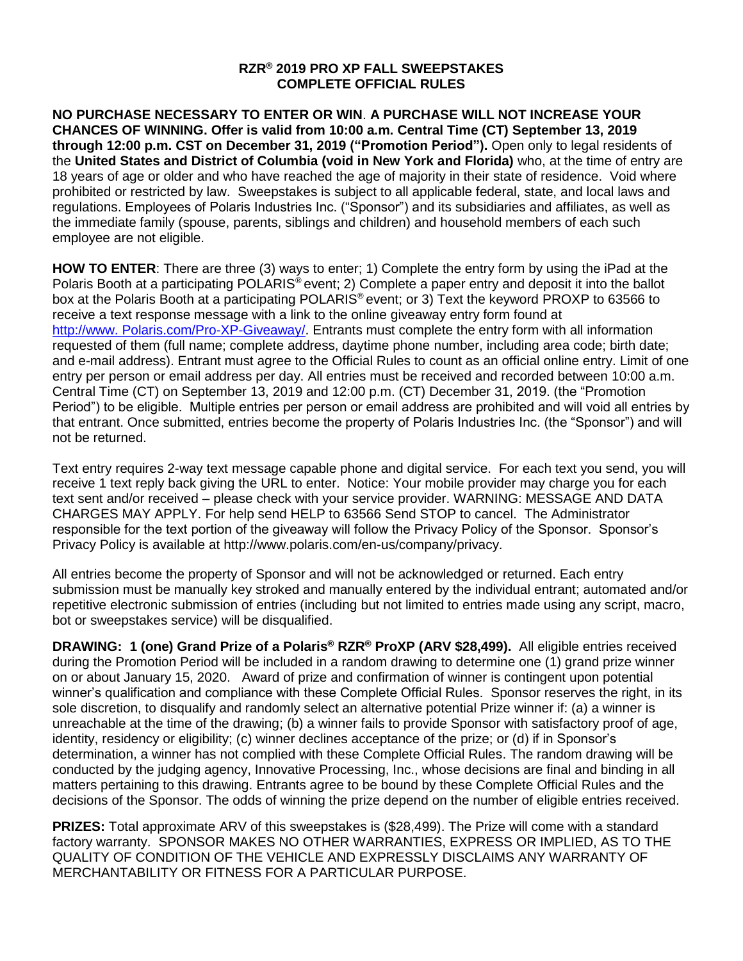## **RZR® 2019 PRO XP FALL SWEEPSTAKES COMPLETE OFFICIAL RULES**

**NO PURCHASE NECESSARY TO ENTER OR WIN**. **A PURCHASE WILL NOT INCREASE YOUR CHANCES OF WINNING. Offer is valid from 10:00 a.m. Central Time (CT) September 13, 2019 through 12:00 p.m. CST on December 31, 2019 ("Promotion Period").** Open only to legal residents of the **United States and District of Columbia (void in New York and Florida)** who, at the time of entry are 18 years of age or older and who have reached the age of majority in their state of residence. Void where prohibited or restricted by law. Sweepstakes is subject to all applicable federal, state, and local laws and regulations. Employees of Polaris Industries Inc. ("Sponsor") and its subsidiaries and affiliates, as well as the immediate family (spouse, parents, siblings and children) and household members of each such employee are not eligible.

**HOW TO ENTER**: There are three (3) ways to enter; 1) Complete the entry form by using the iPad at the Polaris Booth at a participating POLARIS® event; 2) Complete a paper entry and deposit it into the ballot box at the Polaris Booth at a participating POLARIS® event; or 3) Text the keyword PROXP to 63566 to receive a text response message with a link to the online giveaway entry form found at http://www. Polaris.com/Pro-XP-Giveaway/. Entrants must complete the entry form with all information requested of them (full name; complete address, daytime phone number, including area code; birth date; and e-mail address). Entrant must agree to the Official Rules to count as an official online entry. Limit of one entry per person or email address per day. All entries must be received and recorded between 10:00 a.m. Central Time (CT) on September 13, 2019 and 12:00 p.m. (CT) December 31, 2019. (the "Promotion Period") to be eligible. Multiple entries per person or email address are prohibited and will void all entries by that entrant. Once submitted, entries become the property of Polaris Industries Inc. (the "Sponsor") and will not be returned.

Text entry requires 2-way text message capable phone and digital service. For each text you send, you will receive 1 text reply back giving the URL to enter. Notice: Your mobile provider may charge you for each text sent and/or received – please check with your service provider. WARNING: MESSAGE AND DATA CHARGES MAY APPLY. For help send HELP to 63566 Send STOP to cancel. The Administrator responsible for the text portion of the giveaway will follow the Privacy Policy of the Sponsor. Sponsor's Privacy Policy is available at http://www.polaris.com/en-us/company/privacy.

All entries become the property of Sponsor and will not be acknowledged or returned. Each entry submission must be manually key stroked and manually entered by the individual entrant; automated and/or repetitive electronic submission of entries (including but not limited to entries made using any script, macro, bot or sweepstakes service) will be disqualified.

**DRAWING: 1 (one) Grand Prize of a Polaris® RZR® ProXP (ARV \$28,499).** All eligible entries received during the Promotion Period will be included in a random drawing to determine one (1) grand prize winner on or about January 15, 2020. Award of prize and confirmation of winner is contingent upon potential winner's qualification and compliance with these Complete Official Rules. Sponsor reserves the right, in its sole discretion, to disqualify and randomly select an alternative potential Prize winner if: (a) a winner is unreachable at the time of the drawing; (b) a winner fails to provide Sponsor with satisfactory proof of age, identity, residency or eligibility; (c) winner declines acceptance of the prize; or (d) if in Sponsor's determination, a winner has not complied with these Complete Official Rules. The random drawing will be conducted by the judging agency, Innovative Processing, Inc., whose decisions are final and binding in all matters pertaining to this drawing. Entrants agree to be bound by these Complete Official Rules and the decisions of the Sponsor. The odds of winning the prize depend on the number of eligible entries received.

**PRIZES:** Total approximate ARV of this sweepstakes is (\$28,499). The Prize will come with a standard factory warranty. SPONSOR MAKES NO OTHER WARRANTIES, EXPRESS OR IMPLIED, AS TO THE QUALITY OF CONDITION OF THE VEHICLE AND EXPRESSLY DISCLAIMS ANY WARRANTY OF MERCHANTABILITY OR FITNESS FOR A PARTICULAR PURPOSE.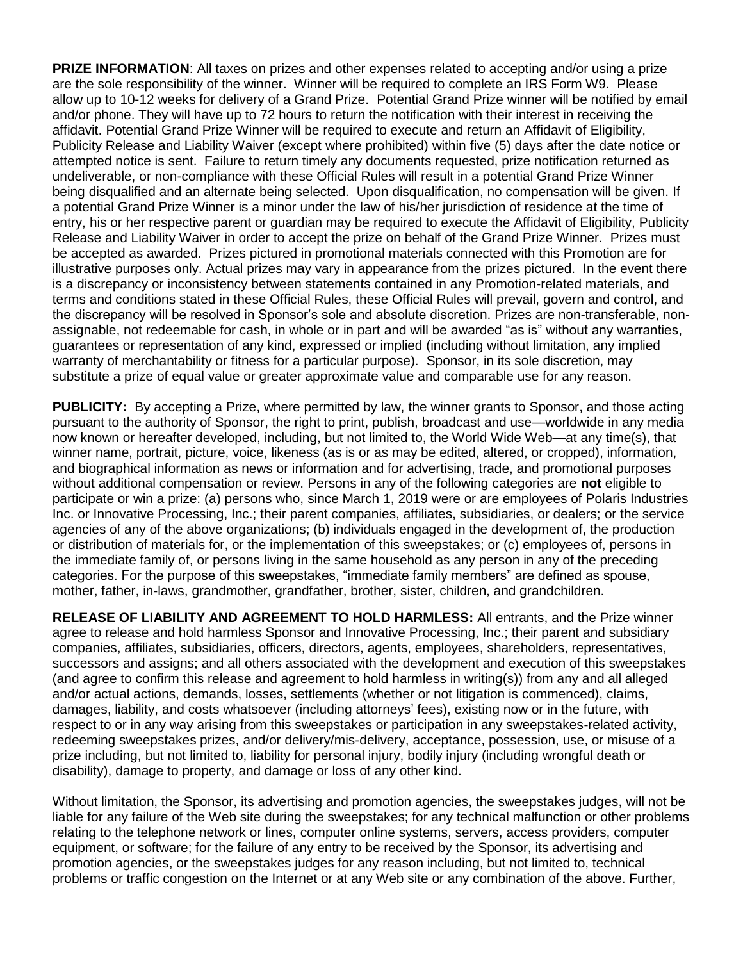**PRIZE INFORMATION:** All taxes on prizes and other expenses related to accepting and/or using a prize are the sole responsibility of the winner. Winner will be required to complete an IRS Form W9. Please allow up to 10-12 weeks for delivery of a Grand Prize. Potential Grand Prize winner will be notified by email and/or phone. They will have up to 72 hours to return the notification with their interest in receiving the affidavit. Potential Grand Prize Winner will be required to execute and return an Affidavit of Eligibility, Publicity Release and Liability Waiver (except where prohibited) within five (5) days after the date notice or attempted notice is sent. Failure to return timely any documents requested, prize notification returned as undeliverable, or non-compliance with these Official Rules will result in a potential Grand Prize Winner being disqualified and an alternate being selected. Upon disqualification, no compensation will be given. If a potential Grand Prize Winner is a minor under the law of his/her jurisdiction of residence at the time of entry, his or her respective parent or guardian may be required to execute the Affidavit of Eligibility, Publicity Release and Liability Waiver in order to accept the prize on behalf of the Grand Prize Winner. Prizes must be accepted as awarded. Prizes pictured in promotional materials connected with this Promotion are for illustrative purposes only. Actual prizes may vary in appearance from the prizes pictured. In the event there is a discrepancy or inconsistency between statements contained in any Promotion-related materials, and terms and conditions stated in these Official Rules, these Official Rules will prevail, govern and control, and the discrepancy will be resolved in Sponsor's sole and absolute discretion. Prizes are non-transferable, nonassignable, not redeemable for cash, in whole or in part and will be awarded "as is" without any warranties, guarantees or representation of any kind, expressed or implied (including without limitation, any implied warranty of merchantability or fitness for a particular purpose). Sponsor, in its sole discretion, may substitute a prize of equal value or greater approximate value and comparable use for any reason.

**PUBLICITY:** By accepting a Prize, where permitted by law, the winner grants to Sponsor, and those acting pursuant to the authority of Sponsor, the right to print, publish, broadcast and use—worldwide in any media now known or hereafter developed, including, but not limited to, the World Wide Web—at any time(s), that winner name, portrait, picture, voice, likeness (as is or as may be edited, altered, or cropped), information, and biographical information as news or information and for advertising, trade, and promotional purposes without additional compensation or review. Persons in any of the following categories are **not** eligible to participate or win a prize: (a) persons who, since March 1, 2019 were or are employees of Polaris Industries Inc. or Innovative Processing, Inc.; their parent companies, affiliates, subsidiaries, or dealers; or the service agencies of any of the above organizations; (b) individuals engaged in the development of, the production or distribution of materials for, or the implementation of this sweepstakes; or (c) employees of, persons in the immediate family of, or persons living in the same household as any person in any of the preceding categories. For the purpose of this sweepstakes, "immediate family members" are defined as spouse, mother, father, in-laws, grandmother, grandfather, brother, sister, children, and grandchildren.

**RELEASE OF LIABILITY AND AGREEMENT TO HOLD HARMLESS:** All entrants, and the Prize winner agree to release and hold harmless Sponsor and Innovative Processing, Inc.; their parent and subsidiary companies, affiliates, subsidiaries, officers, directors, agents, employees, shareholders, representatives, successors and assigns; and all others associated with the development and execution of this sweepstakes (and agree to confirm this release and agreement to hold harmless in writing(s)) from any and all alleged and/or actual actions, demands, losses, settlements (whether or not litigation is commenced), claims, damages, liability, and costs whatsoever (including attorneys' fees), existing now or in the future, with respect to or in any way arising from this sweepstakes or participation in any sweepstakes-related activity, redeeming sweepstakes prizes, and/or delivery/mis-delivery, acceptance, possession, use, or misuse of a prize including, but not limited to, liability for personal injury, bodily injury (including wrongful death or disability), damage to property, and damage or loss of any other kind.

Without limitation, the Sponsor, its advertising and promotion agencies, the sweepstakes judges, will not be liable for any failure of the Web site during the sweepstakes; for any technical malfunction or other problems relating to the telephone network or lines, computer online systems, servers, access providers, computer equipment, or software; for the failure of any entry to be received by the Sponsor, its advertising and promotion agencies, or the sweepstakes judges for any reason including, but not limited to, technical problems or traffic congestion on the Internet or at any Web site or any combination of the above. Further,